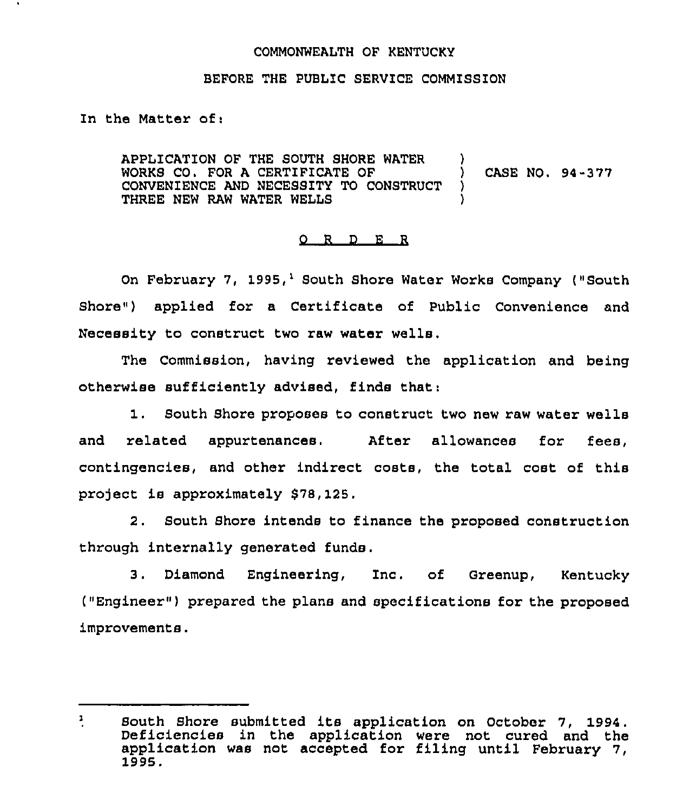## COMMONWEALTH OF KENTUCKY

## BEFORE THE PUBLIC SERVICE COMMISSION

In the Matter of:

APPLICATION OF THE SOUTH SHORE WATER WORKS CO. FOR A CERTIFICATE OF  $\qquad$  ) CASE NO. 94-377 CONVENIENCE AND NECESSITY TO CONSTRUCT ) CONVENIENCE AND NECESSITY TO CONSTRUCT THREE NEW RAW WATER WELLS )

## 0 R <sup>D</sup> E <sup>R</sup>

On February 7, 1995,<sup>1</sup> South Shore Water Works Company ("South Shore") applied for a Certificate of Public Convenience and Necessity to construct two raw water wells.

The Commission, having reviewed the application and being otherwise sufficiently advised, finds that:

1. South Shore proposes to construct two new raw water wells and related appurtenances. After allowances for fees, contingencies, and other indirect costs, the total cost of this project is approximately \$78, 125.

2. South Shore intends to finance the proposed construction through internally generated funds.

3. Diamond Engineering, 1nc. of Greenup, Kentucky ("Engineer" ) prepared the plans and specifications for the proposed improvements.

 $\mathbf{r}$ South Shore submitted its application on October 7, 1994. Deficiencies in the application were not cured and the application was not accepted for filing until February 1995.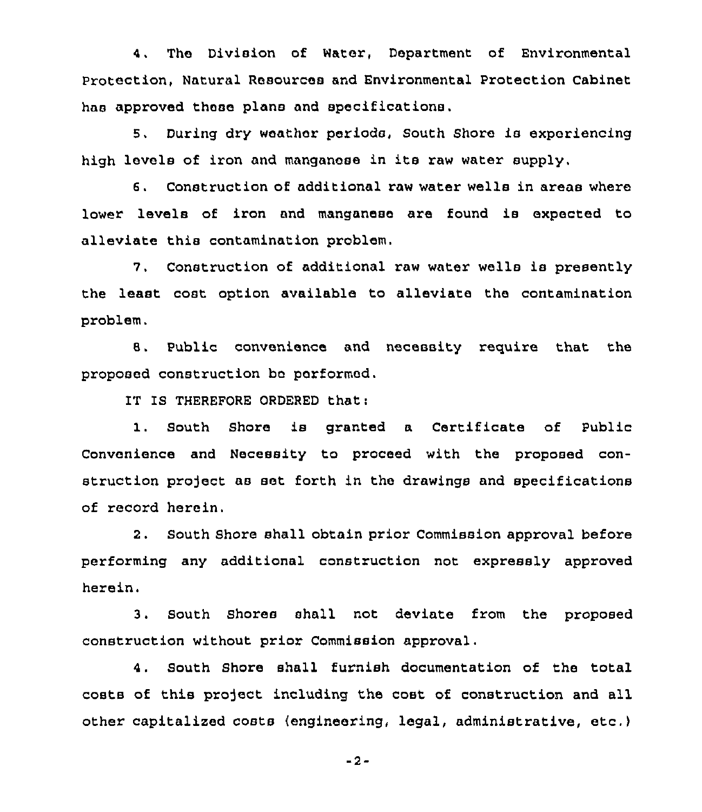4, The Division of Water, Department of Environmental Protection, Natural Resources and Environmental Protection Cabinet has approved these plans and specifications,

5, During dry weather periods, South Shore is experiencing high levels of iron and manganese in its raw water supply.

6. Construction of additional raw water wells in areas where lower levels of iron and manganese are found is expected to alleviate this contamination problem.

7. Construction of additional raw water wells is presently the least cost option available to alleviate the contamination problem.

8, Public convenience and necessity require that the proposed construction bc performed.

IT IS THEREFORE ORDERED that:

1. South Shore is granted <sup>a</sup> Certificate of Public Convenience and Necessity to proceed with the proposed construction project as set forth in the drawings and specifications of record herein.

2. South Shore shall obtain prior Commission approval before performing any additional construction not expressly approved herein.

3. South Shores shall not deviate from the proposed construction without prior Commission approval.

4. South Shore shall furnish documentation of the total costs of this project including the cost of construction and all other capitalized costs (engineering, legal, administrative, etc.)

-2-